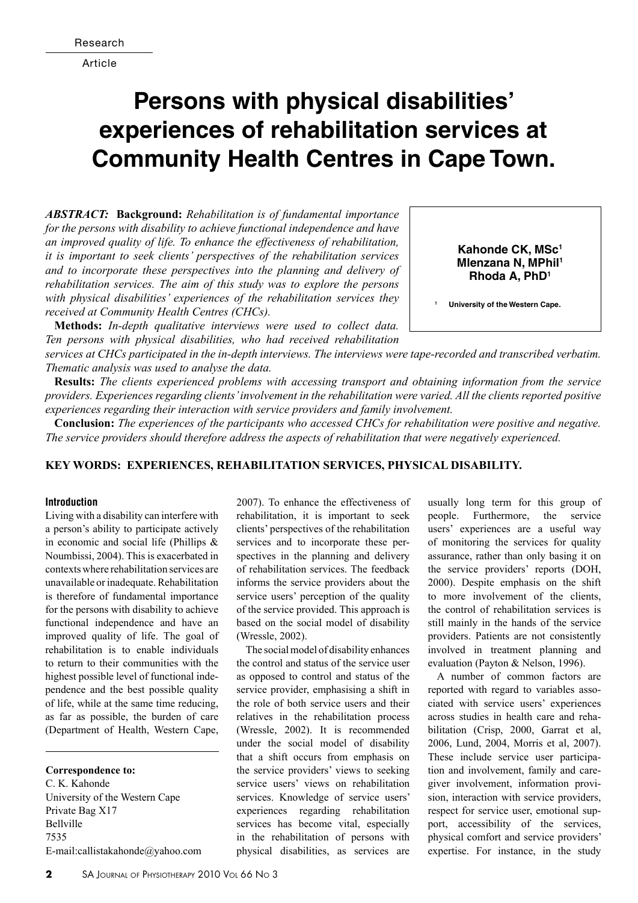Article

# **Persons with physical disabilities' experiences of rehabilitation services at Community Health Centres in Cape Town.**

*Abstract:* **Background:** *Rehabilitation is of fundamental importance for the persons with disability to achieve functional independence and have an improved quality of life. To enhance the effectiveness of rehabilitation, it is important to seek clients' perspectives of the rehabilitation services and to incorporate these perspectives into the planning and delivery of rehabilitation services. The aim of this study was to explore the persons with physical disabilities' experiences of the rehabilitation services they received at Community Health Centres (CHCs).* 

**Methods:** *In-depth qualitative interviews were used to collect data. Ten persons with physical disabilities, who had received rehabilitation* 

**Kahonde CK, MSc<sup>1</sup> Mlenzana N, MPhil<sup>1</sup> Rhoda A, PhD<sup>1</sup>**

**<sup>1</sup> University of the Western Cape.**

*services at CHCs participated in the in-depth interviews. The interviews were tape-recorded and transcribed verbatim. Thematic analysis was used to analyse the data.* 

**Results:** *The clients experienced problems with accessing transport and obtaining information from the service providers. Experiences regarding clients' involvement in the rehabilitation were varied. All the clients reported positive experiences regarding their interaction with service providers and family involvement.* 

**Conclusion:** *The experiences of the participants who accessed CHCs for rehabilitation were positive and negative. The service providers should therefore address the aspects of rehabilitation that were negatively experienced.*

# **Key words: experiences, rehabilitation services, physical disability.**

#### **Introduction**

Living with a disability can interfere with a person's ability to participate actively in economic and social life (Phillips & Noumbissi, 2004). This is exacerbated in contexts where rehabilitation services are unavailable or inadequate. Rehabilitation is therefore of fundamental importance for the persons with disability to achieve functional independence and have an improved quality of life. The goal of rehabilitation is to enable individuals to return to their communities with the highest possible level of functional independence and the best possible quality of life, while at the same time reducing, as far as possible, the burden of care (Department of Health, Western Cape,

**Correspondence to:** C. K. Kahonde University of the Western Cape Private Bag X17 Bellville 7535 E-mail:callistakahonde@yahoo.com 2007). To enhance the effectiveness of rehabilitation, it is important to seek clients' perspectives of the rehabilitation services and to incorporate these perspectives in the planning and delivery of rehabilitation services. The feedback informs the service providers about the service users' perception of the quality of the service provided. This approach is based on the social model of disability (Wressle, 2002).

The social model of disability enhances the control and status of the service user as opposed to control and status of the service provider, emphasising a shift in the role of both service users and their relatives in the rehabilitation process (Wressle, 2002). It is recommended under the social model of disability that a shift occurs from emphasis on the service providers' views to seeking service users' views on rehabilitation services. Knowledge of service users' experiences regarding rehabilitation services has become vital, especially in the rehabilitation of persons with physical disabilities, as services are

usually long term for this group of people. Furthermore, the service users' experiences are a useful way of monitoring the services for quality assurance, rather than only basing it on the service providers' reports (DOH, 2000). Despite emphasis on the shift to more involvement of the clients, the control of rehabilitation services is still mainly in the hands of the service providers. Patients are not consistently involved in treatment planning and evaluation (Payton & Nelson, 1996).

A number of common factors are reported with regard to variables associated with service users' experiences across studies in health care and rehabilitation (Crisp, 2000, Garrat et al, 2006, Lund, 2004, Morris et al, 2007). These include service user participation and involvement, family and caregiver involvement, information provision, interaction with service providers, respect for service user, emotional support, accessibility of the services, physical comfort and service providers' expertise. For instance, in the study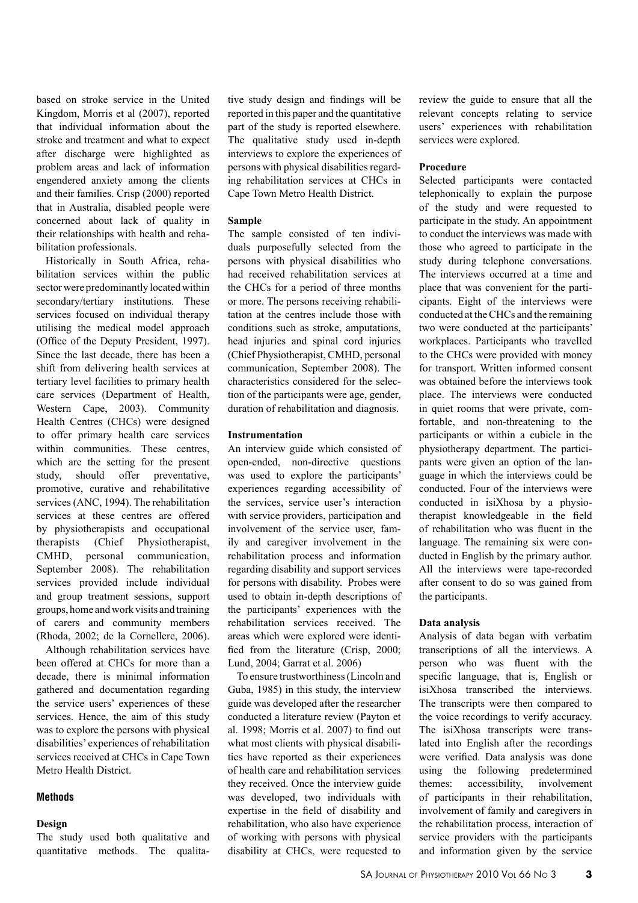based on stroke service in the United Kingdom, Morris et al (2007), reported that individual information about the stroke and treatment and what to expect after discharge were highlighted as problem areas and lack of information engendered anxiety among the clients and their families. Crisp (2000) reported that in Australia, disabled people were concerned about lack of quality in their relationships with health and rehabilitation professionals.

Historically in South Africa, rehabilitation services within the public sector were predominantly located within secondary/tertiary institutions. These services focused on individual therapy utilising the medical model approach (Office of the Deputy President, 1997). Since the last decade, there has been a shift from delivering health services at tertiary level facilities to primary health care services (Department of Health, Western Cape, 2003). Community Health Centres (CHCs) were designed to offer primary health care services within communities. These centres, which are the setting for the present study, should offer preventative, promotive, curative and rehabilitative services (ANC, 1994). The rehabilitation services at these centres are offered by physiotherapists and occupational therapists (Chief Physiotherapist, CMHD, personal communication, September 2008). The rehabilitation services provided include individual and group treatment sessions, support groups, home and work visits and training of carers and community members (Rhoda, 2002; de la Cornellere, 2006).

Although rehabilitation services have been offered at CHCs for more than a decade, there is minimal information gathered and documentation regarding the service users' experiences of these services. Hence, the aim of this study was to explore the persons with physical disabilities' experiences of rehabilitation services received at CHCs in Cape Town Metro Health District.

#### **Methods**

#### **Design**

The study used both qualitative and quantitative methods. The qualitative study design and findings will be reported in this paper and the quantitative part of the study is reported elsewhere. The qualitative study used in-depth interviews to explore the experiences of persons with physical disabilities regarding rehabilitation services at CHCs in Cape Town Metro Health District.

#### **Sample**

The sample consisted of ten individuals purposefully selected from the persons with physical disabilities who had received rehabilitation services at the CHCs for a period of three months or more. The persons receiving rehabilitation at the centres include those with conditions such as stroke, amputations, head injuries and spinal cord injuries (Chief Physiotherapist, CMHD, personal communication, September 2008). The characteristics considered for the selection of the participants were age, gender, duration of rehabilitation and diagnosis.

#### **Instrumentation**

An interview guide which consisted of open-ended, non-directive questions was used to explore the participants' experiences regarding accessibility of the services, service user's interaction with service providers, participation and involvement of the service user, family and caregiver involvement in the rehabilitation process and information regarding disability and support services for persons with disability. Probes were used to obtain in-depth descriptions of the participants' experiences with the rehabilitation services received. The areas which were explored were identified from the literature (Crisp, 2000; Lund, 2004; Garrat et al. 2006)

To ensure trustworthiness (Lincoln and Guba, 1985) in this study, the interview guide was developed after the researcher conducted a literature review (Payton et al. 1998; Morris et al. 2007) to find out what most clients with physical disabilities have reported as their experiences of health care and rehabilitation services they received. Once the interview guide was developed, two individuals with expertise in the field of disability and rehabilitation, who also have experience of working with persons with physical disability at CHCs, were requested to

review the guide to ensure that all the relevant concepts relating to service users' experiences with rehabilitation services were explored.

#### **Procedure**

Selected participants were contacted telephonically to explain the purpose of the study and were requested to participate in the study. An appointment to conduct the interviews was made with those who agreed to participate in the study during telephone conversations. The interviews occurred at a time and place that was convenient for the participants. Eight of the interviews were conducted at the CHCs and the remaining two were conducted at the participants' workplaces. Participants who travelled to the CHCs were provided with money for transport. Written informed consent was obtained before the interviews took place. The interviews were conducted in quiet rooms that were private, comfortable, and non-threatening to the participants or within a cubicle in the physiotherapy department. The participants were given an option of the language in which the interviews could be conducted. Four of the interviews were conducted in isiXhosa by a physiotherapist knowledgeable in the field of rehabilitation who was fluent in the language. The remaining six were conducted in English by the primary author. All the interviews were tape-recorded after consent to do so was gained from the participants.

## **Data analysis**

Analysis of data began with verbatim transcriptions of all the interviews. A person who was fluent with the specific language, that is, English or isiXhosa transcribed the interviews. The transcripts were then compared to the voice recordings to verify accuracy. The isiXhosa transcripts were translated into English after the recordings were verified. Data analysis was done using the following predetermined themes: accessibility, involvement of participants in their rehabilitation, involvement of family and caregivers in the rehabilitation process, interaction of service providers with the participants and information given by the service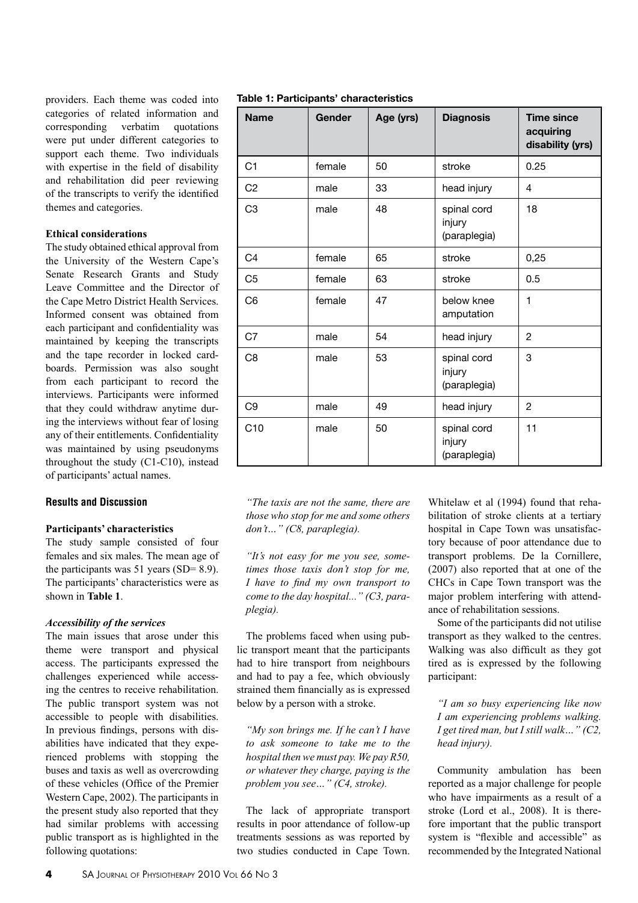providers. Each theme was coded into categories of related information and corresponding verbatim quotations were put under different categories to support each theme. Two individuals with expertise in the field of disability and rehabilitation did peer reviewing of the transcripts to verify the identified themes and categories.

## **Ethical considerations**

The study obtained ethical approval from the University of the Western Cape's Senate Research Grants and Study Leave Committee and the Director of the Cape Metro District Health Services. Informed consent was obtained from each participant and confidentiality was maintained by keeping the transcripts and the tape recorder in locked cardboards. Permission was also sought from each participant to record the interviews. Participants were informed that they could withdraw anytime during the interviews without fear of losing any of their entitlements. Confidentiality was maintained by using pseudonyms throughout the study (C1-C10), instead of participants' actual names.

## **Results and Discussion**

## **Participants' characteristics**

The study sample consisted of four females and six males. The mean age of the participants was  $51$  years (SD= 8.9). The participants' characteristics were as shown in **Table 1**.

## *Accessibility of the services*

The main issues that arose under this theme were transport and physical access. The participants expressed the challenges experienced while accessing the centres to receive rehabilitation. The public transport system was not accessible to people with disabilities. In previous findings, persons with disabilities have indicated that they experienced problems with stopping the buses and taxis as well as overcrowding of these vehicles (Office of the Premier Western Cape, 2002). The participants in the present study also reported that they had similar problems with accessing public transport as is highlighted in the following quotations:

| Table 1: Participants' characteristics |  |
|----------------------------------------|--|
|----------------------------------------|--|

| <b>Name</b>    | Gender | Age (yrs) | <b>Diagnosis</b>                      | <b>Time since</b><br>acquiring<br>disability (yrs) |
|----------------|--------|-----------|---------------------------------------|----------------------------------------------------|
| C <sub>1</sub> | female | 50        | stroke                                | 0.25                                               |
| C <sub>2</sub> | male   | 33        | head injury                           | $\overline{4}$                                     |
| C <sub>3</sub> | male   | 48        | spinal cord<br>injury<br>(paraplegia) | 18                                                 |
| C <sub>4</sub> | female | 65        | stroke                                | 0,25                                               |
| C <sub>5</sub> | female | 63        | stroke                                | 0.5                                                |
| C6             | female | 47        | below knee<br>amputation              | $\mathbf{1}$                                       |
| C7             | male   | 54        | head injury                           | 2                                                  |
| C <sub>8</sub> | male   | 53        | spinal cord<br>injury<br>(paraplegia) | 3                                                  |
| C <sub>9</sub> | male   | 49        | head injury                           | 2                                                  |
| C10            | male   | 50        | spinal cord<br>injury<br>(paraplegia) | 11                                                 |

*"The taxis are not the same, there are those who stop for me and some others don't…" (C8, paraplegia).*

*"It's not easy for me you see, sometimes those taxis don't stop for me, I have to find my own transport to come to the day hospital..." (C3, paraplegia).*

The problems faced when using public transport meant that the participants had to hire transport from neighbours and had to pay a fee, which obviously strained them financially as is expressed below by a person with a stroke.

*"My son brings me. If he can't I have to ask someone to take me to the hospital then we must pay. We pay R50, or whatever they charge, paying is the problem you see…" (C4, stroke).*

The lack of appropriate transport results in poor attendance of follow-up treatments sessions as was reported by two studies conducted in Cape Town.

Whitelaw et al (1994) found that rehabilitation of stroke clients at a tertiary hospital in Cape Town was unsatisfactory because of poor attendance due to transport problems. De la Cornillere, (2007) also reported that at one of the CHCs in Cape Town transport was the major problem interfering with attendance of rehabilitation sessions.

Some of the participants did not utilise transport as they walked to the centres. Walking was also difficult as they got tired as is expressed by the following participant:

*"I am so busy experiencing like now I am experiencing problems walking. I get tired man, but I still walk…" (C2, head injury).*

Community ambulation has been reported as a major challenge for people who have impairments as a result of a stroke (Lord et al., 2008). It is therefore important that the public transport system is "flexible and accessible" as recommended by the Integrated National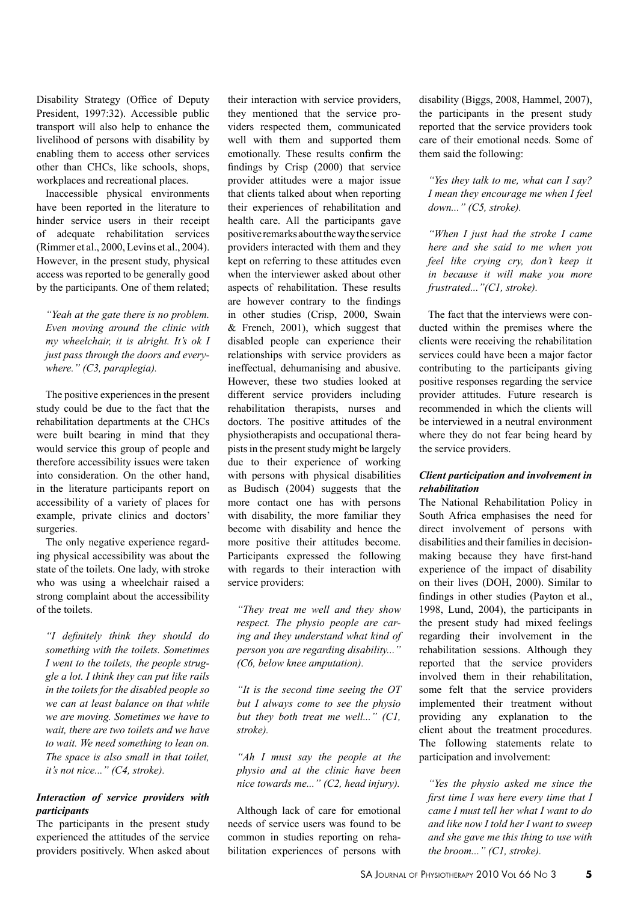Disability Strategy (Office of Deputy President, 1997:32). Accessible public transport will also help to enhance the livelihood of persons with disability by enabling them to access other services other than CHCs, like schools, shops, workplaces and recreational places.

Inaccessible physical environments have been reported in the literature to hinder service users in their receipt of adequate rehabilitation services (Rimmer et al., 2000, Levins et al., 2004). However, in the present study, physical access was reported to be generally good by the participants. One of them related;

*"Yeah at the gate there is no problem. Even moving around the clinic with my wheelchair, it is alright. It's ok I just pass through the doors and everywhere." (C3, paraplegia).*

The positive experiences in the present study could be due to the fact that the rehabilitation departments at the CHCs were built bearing in mind that they would service this group of people and therefore accessibility issues were taken into consideration. On the other hand, in the literature participants report on accessibility of a variety of places for example, private clinics and doctors' surgeries.

The only negative experience regarding physical accessibility was about the state of the toilets. One lady, with stroke who was using a wheelchair raised a strong complaint about the accessibility of the toilets.

*"I definitely think they should do something with the toilets. Sometimes I went to the toilets, the people struggle a lot. I think they can put like rails in the toilets for the disabled people so we can at least balance on that while we are moving. Sometimes we have to wait, there are two toilets and we have to wait. We need something to lean on. The space is also small in that toilet, it's not nice..." (C4, stroke).*

#### *Interaction of service providers with participants*

The participants in the present study experienced the attitudes of the service providers positively. When asked about their interaction with service providers, they mentioned that the service providers respected them, communicated well with them and supported them emotionally. These results confirm the findings by Crisp (2000) that service provider attitudes were a major issue that clients talked about when reporting their experiences of rehabilitation and health care. All the participants gave positive remarks about the way the service providers interacted with them and they kept on referring to these attitudes even when the interviewer asked about other aspects of rehabilitation. These results are however contrary to the findings in other studies (Crisp, 2000, Swain  $&$  French, 2001), which suggest that disabled people can experience their relationships with service providers as ineffectual, dehumanising and abusive. However, these two studies looked at different service providers including rehabilitation therapists, nurses and doctors. The positive attitudes of the physiotherapists and occupational therapists in the present study might be largely due to their experience of working with persons with physical disabilities as Budisch (2004) suggests that the more contact one has with persons with disability, the more familiar they become with disability and hence the more positive their attitudes become. Participants expressed the following with regards to their interaction with service providers:

*"They treat me well and they show respect. The physio people are caring and they understand what kind of person you are regarding disability..." (C6, below knee amputation).*

*"It is the second time seeing the OT but I always come to see the physio but they both treat me well..." (C1, stroke).*

*"Ah I must say the people at the physio and at the clinic have been nice towards me..." (C2, head injury).*

Although lack of care for emotional needs of service users was found to be common in studies reporting on rehabilitation experiences of persons with disability (Biggs, 2008, Hammel, 2007), the participants in the present study reported that the service providers took care of their emotional needs. Some of them said the following:

*"Yes they talk to me, what can I say? I mean they encourage me when I feel down..." (C5, stroke).*

*"When I just had the stroke I came here and she said to me when you feel like crying cry, don't keep it in because it will make you more frustrated..."(C1, stroke).*

The fact that the interviews were conducted within the premises where the clients were receiving the rehabilitation services could have been a major factor contributing to the participants giving positive responses regarding the service provider attitudes. Future research is recommended in which the clients will be interviewed in a neutral environment where they do not fear being heard by the service providers.

## *Client participation and involvement in rehabilitation*

The National Rehabilitation Policy in South Africa emphasises the need for direct involvement of persons with disabilities and their families in decisionmaking because they have first-hand experience of the impact of disability on their lives (DOH, 2000). Similar to findings in other studies (Payton et al., 1998, Lund, 2004), the participants in the present study had mixed feelings regarding their involvement in the rehabilitation sessions. Although they reported that the service providers involved them in their rehabilitation, some felt that the service providers implemented their treatment without providing any explanation to the client about the treatment procedures. The following statements relate to participation and involvement:

*"Yes the physio asked me since the first time I was here every time that I came I must tell her what I want to do and like now I told her I want to sweep and she gave me this thing to use with the broom..." (C1, stroke).*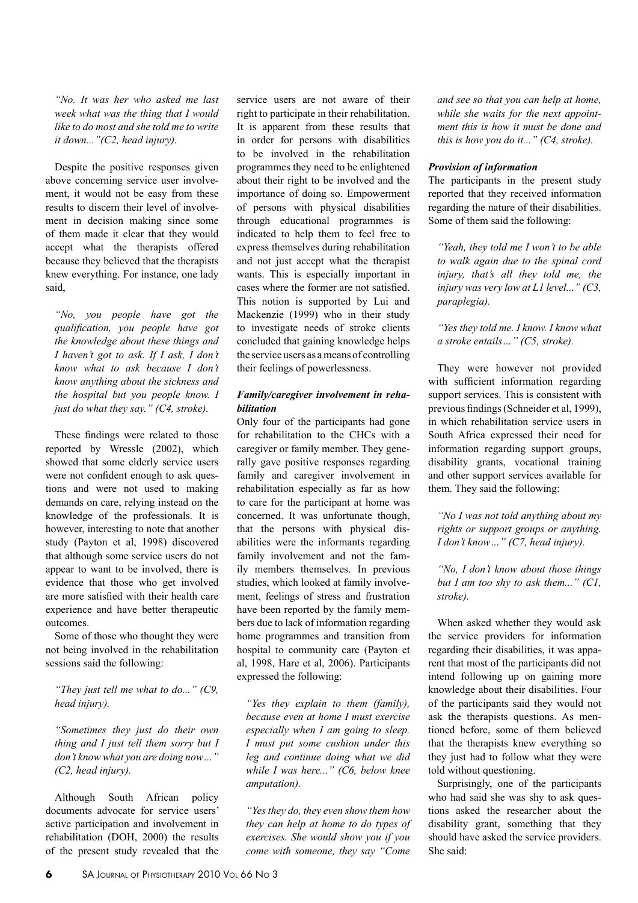*"No. It was her who asked me last week what was the thing that I would like to do most and she told me to write it down..."(C2, head injury).*

Despite the positive responses given above concerning service user involvement, it would not be easy from these results to discern their level of involvement in decision making since some of them made it clear that they would accept what the therapists offered because they believed that the therapists knew everything. For instance, one lady said,

*"No, you people have got the qualification, you people have got the knowledge about these things and I haven't got to ask. If I ask, I don't know what to ask because I don't know anything about the sickness and the hospital but you people know. I just do what they say." (C4, stroke).*

These findings were related to those reported by Wressle (2002), which showed that some elderly service users were not confident enough to ask questions and were not used to making demands on care, relying instead on the knowledge of the professionals. It is however, interesting to note that another study (Payton et al, 1998) discovered that although some service users do not appear to want to be involved, there is evidence that those who get involved are more satisfied with their health care experience and have better therapeutic outcomes.

Some of those who thought they were not being involved in the rehabilitation sessions said the following:

*"They just tell me what to do..." (C9, head injury).*

*"Sometimes they just do their own thing and I just tell them sorry but I don't know what you are doing now…" (C2, head injury).*

Although South African policy documents advocate for service users' active participation and involvement in rehabilitation (DOH, 2000) the results of the present study revealed that the service users are not aware of their right to participate in their rehabilitation. It is apparent from these results that in order for persons with disabilities to be involved in the rehabilitation programmes they need to be enlightened about their right to be involved and the importance of doing so. Empowerment of persons with physical disabilities through educational programmes is indicated to help them to feel free to express themselves during rehabilitation and not just accept what the therapist wants. This is especially important in cases where the former are not satisfied. This notion is supported by Lui and Mackenzie (1999) who in their study to investigate needs of stroke clients concluded that gaining knowledge helps the service users as a means of controlling their feelings of powerlessness.

## *Family/caregiver involvement in rehabilitation*

Only four of the participants had gone for rehabilitation to the CHCs with a caregiver or family member. They generally gave positive responses regarding family and caregiver involvement in rehabilitation especially as far as how to care for the participant at home was concerned. It was unfortunate though, that the persons with physical disabilities were the informants regarding family involvement and not the family members themselves. In previous studies, which looked at family involvement, feelings of stress and frustration have been reported by the family members due to lack of information regarding home programmes and transition from hospital to community care (Payton et al, 1998, Hare et al, 2006). Participants expressed the following:

*"Yes they explain to them (family), because even at home I must exercise especially when I am going to sleep. I must put some cushion under this leg and continue doing what we did while I was here..." (C6, below knee amputation).*

*"Yes they do, they even show them how they can help at home to do types of exercises. She would show you if you come with someone, they say "Come* 

*and see so that you can help at home, while she waits for the next appointment this is how it must be done and this is how you do it..." (C4, stroke).*

#### *Provision of information*

The participants in the present study reported that they received information regarding the nature of their disabilities. Some of them said the following:

*"Yeah, they told me I won't to be able to walk again due to the spinal cord injury, that's all they told me, the injury was very low at L1 level..." (C3, paraplegia).*

*"Yes they told me. I know. I know what a stroke entails…" (C5, stroke).*

They were however not provided with sufficient information regarding support services. This is consistent with previous findings (Schneider et al, 1999), in which rehabilitation service users in South Africa expressed their need for information regarding support groups, disability grants, vocational training and other support services available for them. They said the following:

*"No I was not told anything about my rights or support groups or anything. I don't know…" (C7, head injury).*

*"No, I don't know about those things but I am too shy to ask them..." (C1, stroke).*

When asked whether they would ask the service providers for information regarding their disabilities, it was apparent that most of the participants did not intend following up on gaining more knowledge about their disabilities. Four of the participants said they would not ask the therapists questions. As mentioned before, some of them believed that the therapists knew everything so they just had to follow what they were told without questioning.

Surprisingly, one of the participants who had said she was shy to ask questions asked the researcher about the disability grant, something that they should have asked the service providers. She said: